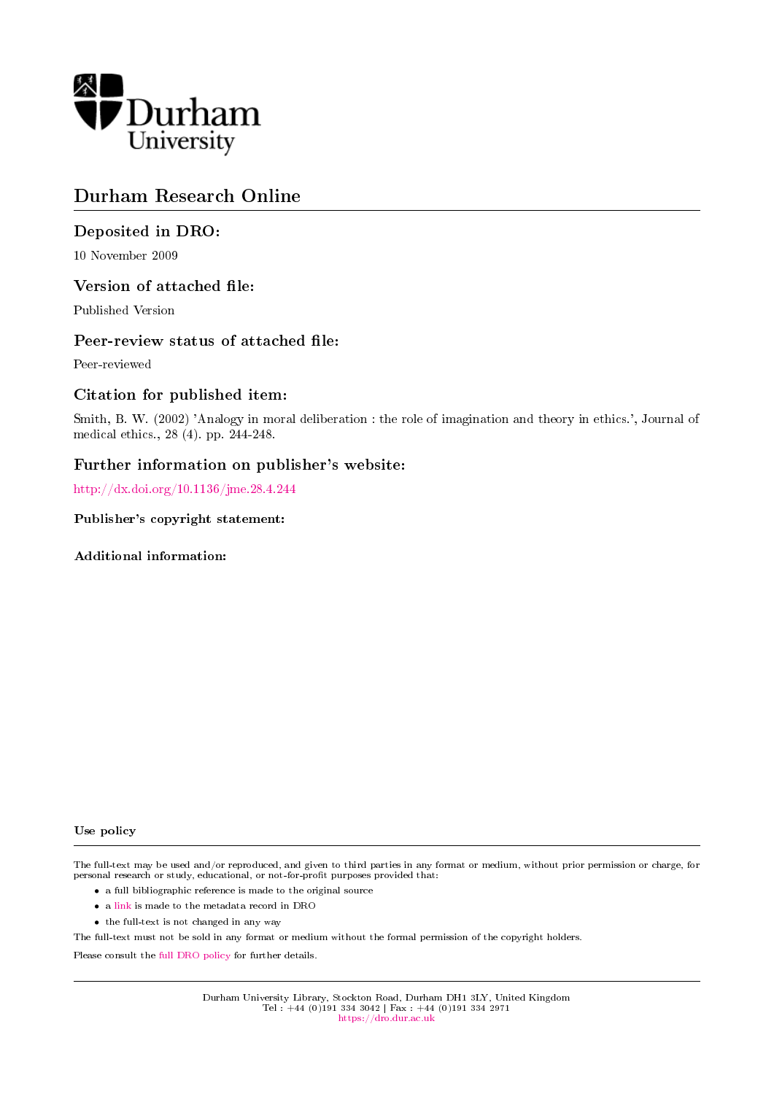

## Durham Research Online

## Deposited in DRO:

10 November 2009

## Version of attached file:

Published Version

## Peer-review status of attached file:

Peer-reviewed

## Citation for published item:

Smith, B. W. (2002) 'Analogy in moral deliberation : the role of imagination and theory in ethics.', Journal of medical ethics., 28 (4). pp. 244-248.

## Further information on publisher's website:

<http://dx.doi.org/10.1136/jme.28.4.244>

Publisher's copyright statement:

Additional information:

#### Use policy

The full-text may be used and/or reproduced, and given to third parties in any format or medium, without prior permission or charge, for personal research or study, educational, or not-for-profit purposes provided that:

- a full bibliographic reference is made to the original source
- a [link](http://dro.dur.ac.uk/2763/) is made to the metadata record in DRO
- the full-text is not changed in any way

The full-text must not be sold in any format or medium without the formal permission of the copyright holders.

Please consult the [full DRO policy](https://dro.dur.ac.uk/policies/usepolicy.pdf) for further details.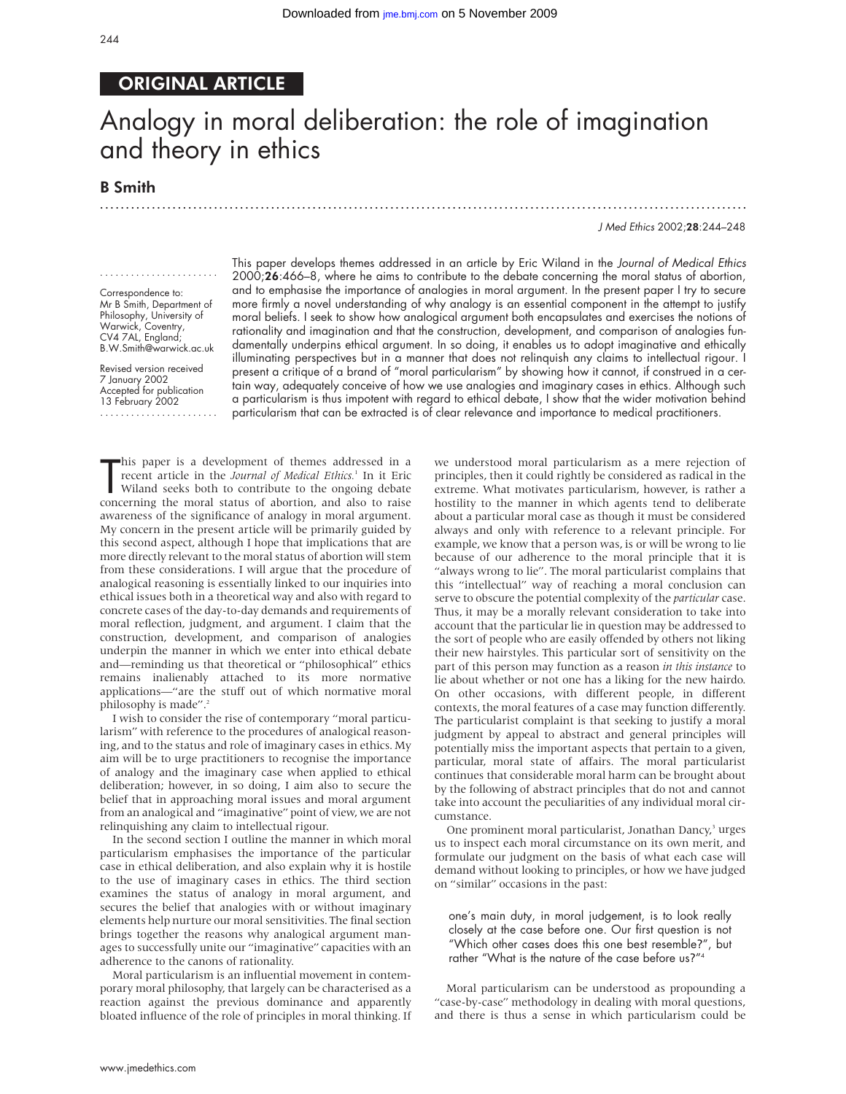## ORIGINAL ARTICLE

# Analogy in moral deliberation: the role of imagination and theory in ethics

.............................................................................................................................

B Smith

J Med Ethics 2002;28:244–248

....................... Correspondence to: Mr B Smith, Department of Philosophy, University of Warwick, Coventry, CV4 7AL, England; B.W.Smith@warwick.ac.uk

Revised version received 7 January 2002 Accepted for publication 13 February 2002 ....................... This paper develops themes addressed in an article by Eric Wiland in the Journal of Medical Ethics 2000;26:466–8, where he aims to contribute to the debate concerning the moral status of abortion, and to emphasise the importance of analogies in moral argument. In the present paper I try to secure more firmly a novel understanding of why analogy is an essential component in the attempt to justify moral beliefs. I seek to show how analogical argument both encapsulates and exercises the notions of rationality and imagination and that the construction, development, and comparison of analogies fundamentally underpins ethical argument. In so doing, it enables us to adopt imaginative and ethically illuminating perspectives but in a manner that does not relinquish any claims to intellectual rigour. I present a critique of a brand of "moral particularism" by showing how it cannot, if construed in a certain way, adequately conceive of how we use analogies and imaginary cases in ethics. Although such a particularism is thus impotent with regard to ethical debate, I show that the wider motivation behind particularism that can be extracted is of clear relevance and importance to medical practitioners.

This paper is a development of themes addressed in a<br>recent article in the *Journal of Medical Ethics*.<sup>1</sup> In it Eric<br>Wiland seeks both to contribute to the ongoing debate<br>concerning the moral status of abortion, and also his paper is a development of themes addressed in a recent article in the *Journal of Medical Ethics.*<sup>1</sup> In it Eric Wiland seeks both to contribute to the ongoing debate awareness of the significance of analogy in moral argument. My concern in the present article will be primarily guided by this second aspect, although I hope that implications that are more directly relevant to the moral status of abortion will stem from these considerations. I will argue that the procedure of analogical reasoning is essentially linked to our inquiries into ethical issues both in a theoretical way and also with regard to concrete cases of the day-to-day demands and requirements of moral reflection, judgment, and argument. I claim that the construction, development, and comparison of analogies underpin the manner in which we enter into ethical debate and—reminding us that theoretical or "philosophical" ethics remains inalienably attached to its more normative applications—"are the stuff out of which normative moral philosophy is made".<sup>2</sup>

I wish to consider the rise of contemporary "moral particularism" with reference to the procedures of analogical reasoning, and to the status and role of imaginary cases in ethics. My aim will be to urge practitioners to recognise the importance of analogy and the imaginary case when applied to ethical deliberation; however, in so doing, I aim also to secure the belief that in approaching moral issues and moral argument from an analogical and "imaginative" point of view, we are not relinquishing any claim to intellectual rigour.

In the second section I outline the manner in which moral particularism emphasises the importance of the particular case in ethical deliberation, and also explain why it is hostile to the use of imaginary cases in ethics. The third section examines the status of analogy in moral argument, and secures the belief that analogies with or without imaginary elements help nurture our moral sensitivities. The final section brings together the reasons why analogical argument manages to successfully unite our "imaginative" capacities with an adherence to the canons of rationality.

Moral particularism is an influential movement in contemporary moral philosophy, that largely can be characterised as a reaction against the previous dominance and apparently bloated influence of the role of principles in moral thinking. If we understood moral particularism as a mere rejection of principles, then it could rightly be considered as radical in the extreme. What motivates particularism, however, is rather a hostility to the manner in which agents tend to deliberate about a particular moral case as though it must be considered always and only with reference to a relevant principle. For example, we know that a person was, is or will be wrong to lie because of our adherence to the moral principle that it is "always wrong to lie". The moral particularist complains that this "intellectual" way of reaching a moral conclusion can serve to obscure the potential complexity of the *particular* case. Thus, it may be a morally relevant consideration to take into account that the particular lie in question may be addressed to the sort of people who are easily offended by others not liking their new hairstyles. This particular sort of sensitivity on the part of this person may function as a reason *in this instance* to lie about whether or not one has a liking for the new hairdo. On other occasions, with different people, in different contexts, the moral features of a case may function differently. The particularist complaint is that seeking to justify a moral judgment by appeal to abstract and general principles will potentially miss the important aspects that pertain to a given, particular, moral state of affairs. The moral particularist continues that considerable moral harm can be brought about by the following of abstract principles that do not and cannot take into account the peculiarities of any individual moral circumstance.

One prominent moral particularist, Jonathan Dancy,<sup>3</sup> urges us to inspect each moral circumstance on its own merit, and formulate our judgment on the basis of what each case will demand without looking to principles, or how we have judged on "similar" occasions in the past:

one's main duty, in moral judgement, is to look really closely at the case before one. Our first question is not "Which other cases does this one best resemble?", but rather "What is the nature of the case before us?"4

Moral particularism can be understood as propounding a "case-by-case" methodology in dealing with moral questions, and there is thus a sense in which particularism could be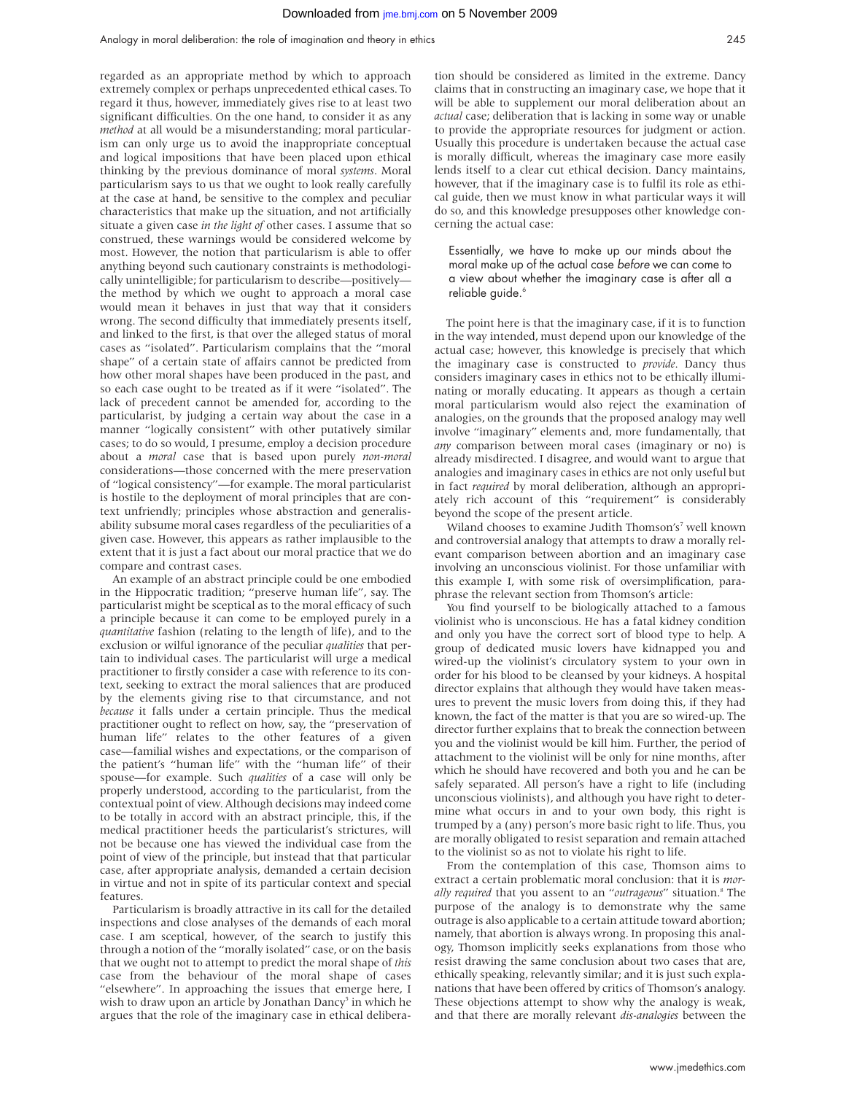#### Downloaded from [jme.bmj.com](http://jme.bmj.com) on 5 November 2009

regarded as an appropriate method by which to approach extremely complex or perhaps unprecedented ethical cases. To regard it thus, however, immediately gives rise to at least two significant difficulties. On the one hand, to consider it as any *method* at all would be a misunderstanding; moral particularism can only urge us to avoid the inappropriate conceptual and logical impositions that have been placed upon ethical thinking by the previous dominance of moral *systems*. Moral particularism says to us that we ought to look really carefully at the case at hand, be sensitive to the complex and peculiar characteristics that make up the situation, and not artificially situate a given case *in the light of* other cases. I assume that so construed, these warnings would be considered welcome by most. However, the notion that particularism is able to offer anything beyond such cautionary constraints is methodologically unintelligible; for particularism to describe—positively the method by which we ought to approach a moral case would mean it behaves in just that way that it considers wrong. The second difficulty that immediately presents itself, and linked to the first, is that over the alleged status of moral cases as "isolated". Particularism complains that the "moral shape" of a certain state of affairs cannot be predicted from how other moral shapes have been produced in the past, and so each case ought to be treated as if it were "isolated". The lack of precedent cannot be amended for, according to the particularist, by judging a certain way about the case in a manner "logically consistent" with other putatively similar cases; to do so would, I presume, employ a decision procedure about a *moral* case that is based upon purely *non-moral* considerations—those concerned with the mere preservation of "logical consistency"—for example. The moral particularist is hostile to the deployment of moral principles that are context unfriendly; principles whose abstraction and generalisability subsume moral cases regardless of the peculiarities of a given case. However, this appears as rather implausible to the extent that it is just a fact about our moral practice that we do compare and contrast cases.

An example of an abstract principle could be one embodied in the Hippocratic tradition; "preserve human life", say. The particularist might be sceptical as to the moral efficacy of such a principle because it can come to be employed purely in a *quantitative* fashion (relating to the length of life), and to the exclusion or wilful ignorance of the peculiar *qualities* that pertain to individual cases. The particularist will urge a medical practitioner to firstly consider a case with reference to its context, seeking to extract the moral saliences that are produced by the elements giving rise to that circumstance, and not *because* it falls under a certain principle. Thus the medical practitioner ought to reflect on how, say, the "preservation of human life" relates to the other features of a given case—familial wishes and expectations, or the comparison of the patient's "human life" with the "human life" of their spouse—for example. Such *qualities* of a case will only be properly understood, according to the particularist, from the contextual point of view. Although decisions may indeed come to be totally in accord with an abstract principle, this, if the medical practitioner heeds the particularist's strictures, will not be because one has viewed the individual case from the point of view of the principle, but instead that that particular case, after appropriate analysis, demanded a certain decision in virtue and not in spite of its particular context and special features.

Particularism is broadly attractive in its call for the detailed inspections and close analyses of the demands of each moral case. I am sceptical, however, of the search to justify this through a notion of the "morally isolated" case, or on the basis that we ought not to attempt to predict the moral shape of *this* case from the behaviour of the moral shape of cases "elsewhere". In approaching the issues that emerge here, I wish to draw upon an article by Jonathan Dancy<sup>5</sup> in which he argues that the role of the imaginary case in ethical deliberation should be considered as limited in the extreme. Dancy claims that in constructing an imaginary case, we hope that it will be able to supplement our moral deliberation about an *actual* case; deliberation that is lacking in some way or unable to provide the appropriate resources for judgment or action. Usually this procedure is undertaken because the actual case is morally difficult, whereas the imaginary case more easily lends itself to a clear cut ethical decision. Dancy maintains, however, that if the imaginary case is to fulfil its role as ethical guide, then we must know in what particular ways it will do so, and this knowledge presupposes other knowledge concerning the actual case:

Essentially, we have to make up our minds about the moral make up of the actual case before we can come to a view about whether the imaginary case is after all a reliable guide.<sup>6</sup>

The point here is that the imaginary case, if it is to function in the way intended, must depend upon our knowledge of the actual case; however, this knowledge is precisely that which the imaginary case is constructed to *provide*. Dancy thus considers imaginary cases in ethics not to be ethically illuminating or morally educating. It appears as though a certain moral particularism would also reject the examination of analogies, on the grounds that the proposed analogy may well involve "imaginary" elements and, more fundamentally, that *any* comparison between moral cases (imaginary or no) is already misdirected. I disagree, and would want to argue that analogies and imaginary cases in ethics are not only useful but in fact *required* by moral deliberation, although an appropriately rich account of this "requirement" is considerably beyond the scope of the present article.

Wiland chooses to examine Judith Thomson's<sup>7</sup> well known and controversial analogy that attempts to draw a morally relevant comparison between abortion and an imaginary case involving an unconscious violinist. For those unfamiliar with this example I, with some risk of oversimplification, paraphrase the relevant section from Thomson's article:

You find yourself to be biologically attached to a famous violinist who is unconscious. He has a fatal kidney condition and only you have the correct sort of blood type to help. A group of dedicated music lovers have kidnapped you and wired-up the violinist's circulatory system to your own in order for his blood to be cleansed by your kidneys. A hospital director explains that although they would have taken measures to prevent the music lovers from doing this, if they had known, the fact of the matter is that you are so wired-up. The director further explains that to break the connection between you and the violinist would be kill him. Further, the period of attachment to the violinist will be only for nine months, after which he should have recovered and both you and he can be safely separated. All person's have a right to life (including unconscious violinists), and although you have right to determine what occurs in and to your own body, this right is trumped by a (any) person's more basic right to life. Thus, you are morally obligated to resist separation and remain attached to the violinist so as not to violate his right to life.

From the contemplation of this case, Thomson aims to extract a certain problematic moral conclusion: that it is *morally required* that you assent to an "*outrageous*" situation.<sup>8</sup> The purpose of the analogy is to demonstrate why the same outrage is also applicable to a certain attitude toward abortion; namely, that abortion is always wrong. In proposing this analogy, Thomson implicitly seeks explanations from those who resist drawing the same conclusion about two cases that are, ethically speaking, relevantly similar; and it is just such explanations that have been offered by critics of Thomson's analogy. These objections attempt to show why the analogy is weak, and that there are morally relevant *dis-analogies* between the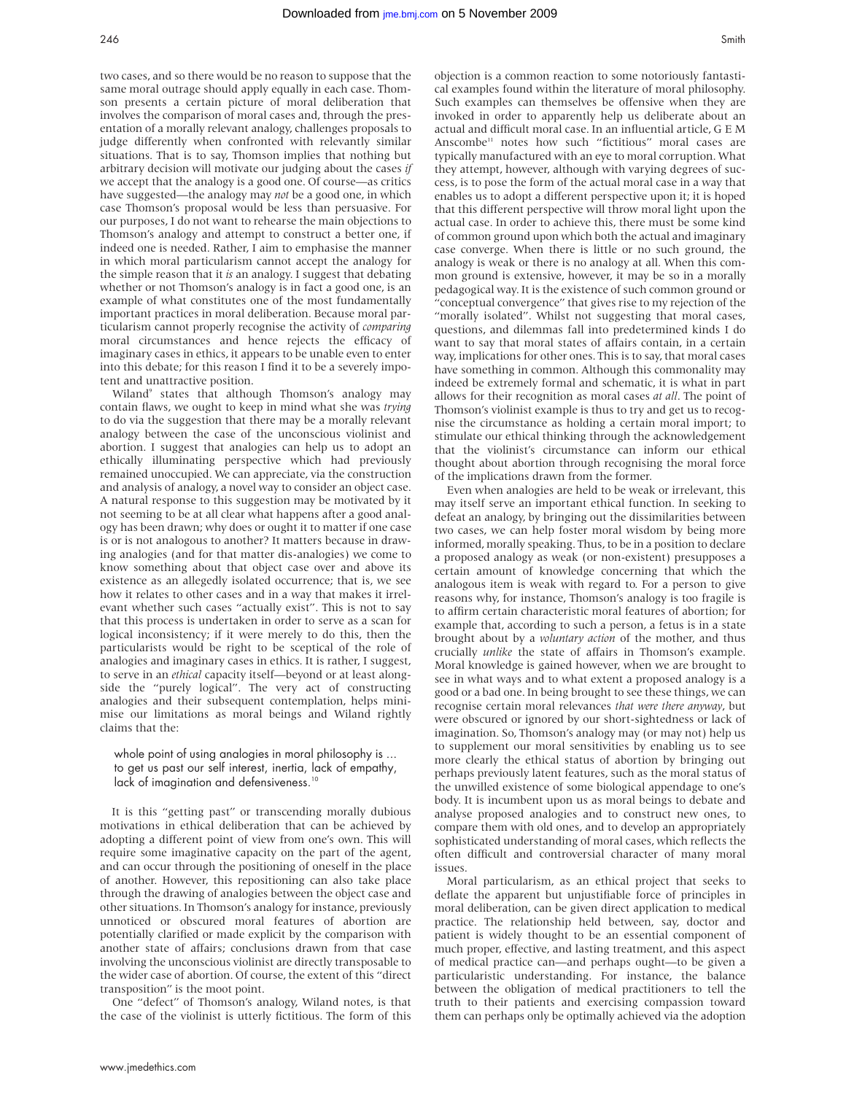two cases, and so there would be no reason to suppose that the same moral outrage should apply equally in each case. Thomson presents a certain picture of moral deliberation that involves the comparison of moral cases and, through the presentation of a morally relevant analogy, challenges proposals to judge differently when confronted with relevantly similar situations. That is to say, Thomson implies that nothing but arbitrary decision will motivate our judging about the cases *if* we accept that the analogy is a good one. Of course—as critics have suggested—the analogy may *not* be a good one, in which case Thomson's proposal would be less than persuasive. For our purposes, I do not want to rehearse the main objections to Thomson's analogy and attempt to construct a better one, if indeed one is needed. Rather, I aim to emphasise the manner in which moral particularism cannot accept the analogy for the simple reason that it *is* an analogy. I suggest that debating whether or not Thomson's analogy is in fact a good one, is an example of what constitutes one of the most fundamentally important practices in moral deliberation. Because moral particularism cannot properly recognise the activity of *comparing* moral circumstances and hence rejects the efficacy of imaginary cases in ethics, it appears to be unable even to enter into this debate; for this reason I find it to be a severely impotent and unattractive position.

Wiland<sup>9</sup> states that although Thomson's analogy may contain flaws, we ought to keep in mind what she was *trying* to do via the suggestion that there may be a morally relevant analogy between the case of the unconscious violinist and abortion. I suggest that analogies can help us to adopt an ethically illuminating perspective which had previously remained unoccupied. We can appreciate, via the construction and analysis of analogy, a novel way to consider an object case. A natural response to this suggestion may be motivated by it not seeming to be at all clear what happens after a good analogy has been drawn; why does or ought it to matter if one case is or is not analogous to another? It matters because in drawing analogies (and for that matter dis-analogies) we come to know something about that object case over and above its existence as an allegedly isolated occurrence; that is, we see how it relates to other cases and in a way that makes it irrelevant whether such cases "actually exist". This is not to say that this process is undertaken in order to serve as a scan for logical inconsistency; if it were merely to do this, then the particularists would be right to be sceptical of the role of analogies and imaginary cases in ethics. It is rather, I suggest, to serve in an *ethical* capacity itself—beyond or at least alongside the "purely logical". The very act of constructing analogies and their subsequent contemplation, helps minimise our limitations as moral beings and Wiland rightly claims that the:

whole point of using analogies in moral philosophy is ... to get us past our self interest, inertia, lack of empathy, lack of imagination and defensiveness.<sup>10</sup>

It is this "getting past" or transcending morally dubious motivations in ethical deliberation that can be achieved by adopting a different point of view from one's own. This will require some imaginative capacity on the part of the agent, and can occur through the positioning of oneself in the place of another. However, this repositioning can also take place through the drawing of analogies between the object case and other situations. In Thomson's analogy for instance, previously unnoticed or obscured moral features of abortion are potentially clarified or made explicit by the comparison with another state of affairs; conclusions drawn from that case involving the unconscious violinist are directly transposable to the wider case of abortion. Of course, the extent of this "direct transposition" is the moot point.

One "defect" of Thomson's analogy, Wiland notes, is that the case of the violinist is utterly fictitious. The form of this objection is a common reaction to some notoriously fantastical examples found within the literature of moral philosophy. Such examples can themselves be offensive when they are invoked in order to apparently help us deliberate about an actual and difficult moral case. In an influential article, G E M Anscombe<sup>11</sup> notes how such "fictitious" moral cases are typically manufactured with an eye to moral corruption. What they attempt, however, although with varying degrees of success, is to pose the form of the actual moral case in a way that enables us to adopt a different perspective upon it; it is hoped that this different perspective will throw moral light upon the actual case. In order to achieve this, there must be some kind of common ground upon which both the actual and imaginary case converge. When there is little or no such ground, the analogy is weak or there is no analogy at all. When this common ground is extensive, however, it may be so in a morally pedagogical way. It is the existence of such common ground or "conceptual convergence" that gives rise to my rejection of the "morally isolated". Whilst not suggesting that moral cases, questions, and dilemmas fall into predetermined kinds I do want to say that moral states of affairs contain, in a certain way, implications for other ones. This is to say, that moral cases have something in common. Although this commonality may indeed be extremely formal and schematic, it is what in part allows for their recognition as moral cases *at all*. The point of Thomson's violinist example is thus to try and get us to recognise the circumstance as holding a certain moral import; to stimulate our ethical thinking through the acknowledgement that the violinist's circumstance can inform our ethical thought about abortion through recognising the moral force of the implications drawn from the former.

Even when analogies are held to be weak or irrelevant, this may itself serve an important ethical function. In seeking to defeat an analogy, by bringing out the dissimilarities between two cases, we can help foster moral wisdom by being more informed, morally speaking. Thus, to be in a position to declare a proposed analogy as weak (or non-existent) presupposes a certain amount of knowledge concerning that which the analogous item is weak with regard to. For a person to give reasons why, for instance, Thomson's analogy is too fragile is to affirm certain characteristic moral features of abortion; for example that, according to such a person, a fetus is in a state brought about by a *voluntary action* of the mother, and thus crucially *unlike* the state of affairs in Thomson's example. Moral knowledge is gained however, when we are brought to see in what ways and to what extent a proposed analogy is a good or a bad one. In being brought to see these things, we can recognise certain moral relevances *that were there anyway*, but were obscured or ignored by our short-sightedness or lack of imagination. So, Thomson's analogy may (or may not) help us to supplement our moral sensitivities by enabling us to see more clearly the ethical status of abortion by bringing out perhaps previously latent features, such as the moral status of the unwilled existence of some biological appendage to one's body. It is incumbent upon us as moral beings to debate and analyse proposed analogies and to construct new ones, to compare them with old ones, and to develop an appropriately sophisticated understanding of moral cases, which reflects the often difficult and controversial character of many moral issues.

Moral particularism, as an ethical project that seeks to deflate the apparent but unjustifiable force of principles in moral deliberation, can be given direct application to medical practice. The relationship held between, say, doctor and patient is widely thought to be an essential component of much proper, effective, and lasting treatment, and this aspect of medical practice can—and perhaps ought—to be given a particularistic understanding. For instance, the balance between the obligation of medical practitioners to tell the truth to their patients and exercising compassion toward them can perhaps only be optimally achieved via the adoption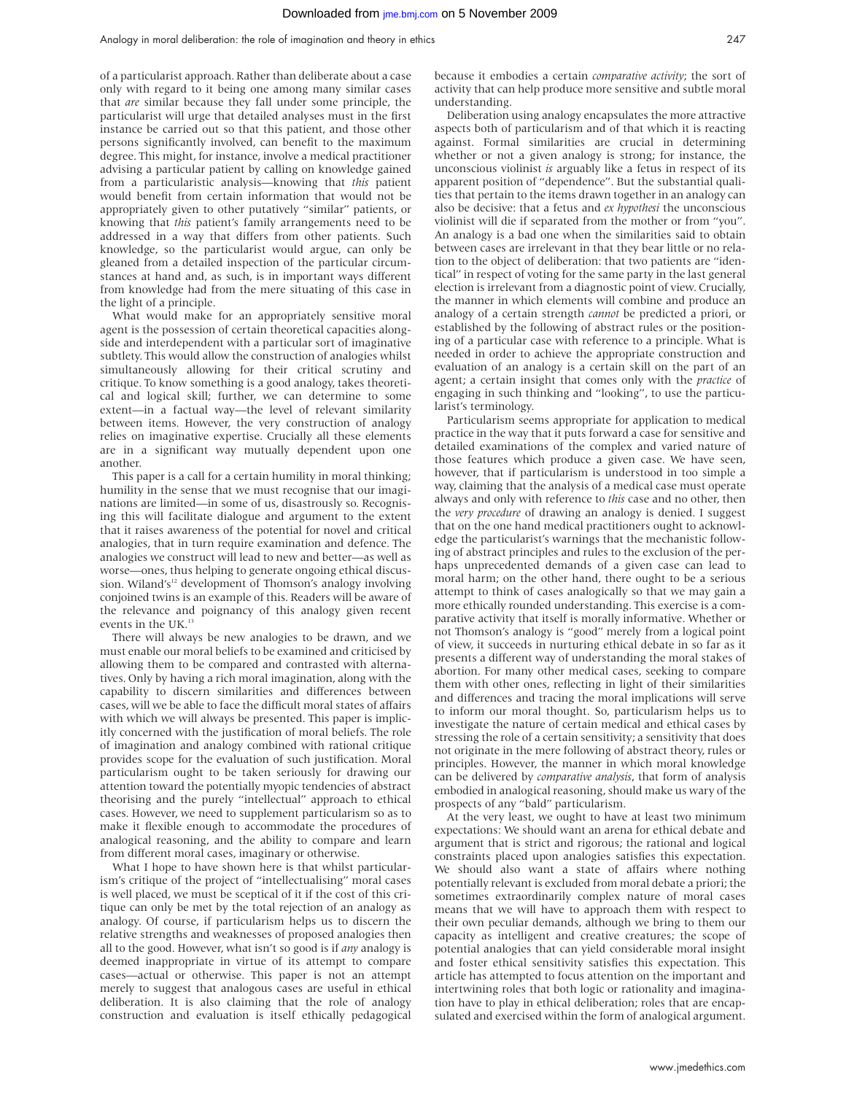of a particularist approach. Rather than deliberate about a case only with regard to it being one among many similar cases that *are* similar because they fall under some principle, the particularist will urge that detailed analyses must in the first instance be carried out so that this patient, and those other persons significantly involved, can benefit to the maximum degree. This might, for instance, involve a medical practitioner advising a particular patient by calling on knowledge gained from a particularistic analysis—knowing that *this* patient would benefit from certain information that would not be appropriately given to other putatively "similar" patients, or knowing that *this* patient's family arrangements need to be addressed in a way that differs from other patients. Such knowledge, so the particularist would argue, can only be gleaned from a detailed inspection of the particular circumstances at hand and, as such, is in important ways different from knowledge had from the mere situating of this case in the light of a principle.

What would make for an appropriately sensitive moral agent is the possession of certain theoretical capacities alongside and interdependent with a particular sort of imaginative subtlety. This would allow the construction of analogies whilst simultaneously allowing for their critical scrutiny and critique. To know something is a good analogy, takes theoretical and logical skill; further, we can determine to some extent—in a factual way—the level of relevant similarity between items. However, the very construction of analogy relies on imaginative expertise. Crucially all these elements are in a significant way mutually dependent upon one another.

This paper is a call for a certain humility in moral thinking; humility in the sense that we must recognise that our imaginations are limited—in some of us, disastrously so. Recognising this will facilitate dialogue and argument to the extent that it raises awareness of the potential for novel and critical analogies, that in turn require examination and defence. The analogies we construct will lead to new and better—as well as worse—ones, thus helping to generate ongoing ethical discussion. Wiland's<sup>12</sup> development of Thomson's analogy involving conjoined twins is an example of this. Readers will be aware of the relevance and poignancy of this analogy given recent events in the UK.<sup>13</sup>

There will always be new analogies to be drawn, and we must enable our moral beliefs to be examined and criticised by allowing them to be compared and contrasted with alternatives. Only by having a rich moral imagination, along with the capability to discern similarities and differences between cases, will we be able to face the difficult moral states of affairs with which we will always be presented. This paper is implicitly concerned with the justification of moral beliefs. The role of imagination and analogy combined with rational critique provides scope for the evaluation of such justification. Moral particularism ought to be taken seriously for drawing our attention toward the potentially myopic tendencies of abstract theorising and the purely "intellectual" approach to ethical cases. However, we need to supplement particularism so as to make it flexible enough to accommodate the procedures of analogical reasoning, and the ability to compare and learn from different moral cases, imaginary or otherwise.

What I hope to have shown here is that whilst particularism's critique of the project of "intellectualising" moral cases is well placed, we must be sceptical of it if the cost of this critique can only be met by the total rejection of an analogy as analogy. Of course, if particularism helps us to discern the relative strengths and weaknesses of proposed analogies then all to the good. However, what isn't so good is if *any* analogy is deemed inappropriate in virtue of its attempt to compare cases—actual or otherwise. This paper is not an attempt merely to suggest that analogous cases are useful in ethical deliberation. It is also claiming that the role of analogy construction and evaluation is itself ethically pedagogical

because it embodies a certain *comparative activity*; the sort of activity that can help produce more sensitive and subtle moral understanding.

Deliberation using analogy encapsulates the more attractive aspects both of particularism and of that which it is reacting against. Formal similarities are crucial in determining whether or not a given analogy is strong; for instance, the unconscious violinist *is* arguably like a fetus in respect of its apparent position of "dependence". But the substantial qualities that pertain to the items drawn together in an analogy can also be decisive: that a fetus and *ex hypothesi* the unconscious violinist will die if separated from the mother or from "you". An analogy is a bad one when the similarities said to obtain between cases are irrelevant in that they bear little or no relation to the object of deliberation: that two patients are "identical" in respect of voting for the same party in the last general election is irrelevant from a diagnostic point of view. Crucially, the manner in which elements will combine and produce an analogy of a certain strength *cannot* be predicted a priori, or established by the following of abstract rules or the positioning of a particular case with reference to a principle. What is needed in order to achieve the appropriate construction and evaluation of an analogy is a certain skill on the part of an agent; a certain insight that comes only with the *practice* of engaging in such thinking and "looking", to use the particularist's terminology.

Particularism seems appropriate for application to medical practice in the way that it puts forward a case for sensitive and detailed examinations of the complex and varied nature of those features which produce a given case. We have seen, however, that if particularism is understood in too simple a way, claiming that the analysis of a medical case must operate always and only with reference to *this* case and no other, then the *very procedure* of drawing an analogy is denied. I suggest that on the one hand medical practitioners ought to acknowledge the particularist's warnings that the mechanistic following of abstract principles and rules to the exclusion of the perhaps unprecedented demands of a given case can lead to moral harm; on the other hand, there ought to be a serious attempt to think of cases analogically so that we may gain a more ethically rounded understanding. This exercise is a comparative activity that itself is morally informative. Whether or not Thomson's analogy is "good" merely from a logical point of view, it succeeds in nurturing ethical debate in so far as it presents a different way of understanding the moral stakes of abortion. For many other medical cases, seeking to compare them with other ones, reflecting in light of their similarities and differences and tracing the moral implications will serve to inform our moral thought. So, particularism helps us to investigate the nature of certain medical and ethical cases by stressing the role of a certain sensitivity; a sensitivity that does not originate in the mere following of abstract theory, rules or principles. However, the manner in which moral knowledge can be delivered by *comparative analysis*, that form of analysis embodied in analogical reasoning, should make us wary of the prospects of any "bald" particularism.

At the very least, we ought to have at least two minimum expectations: We should want an arena for ethical debate and argument that is strict and rigorous; the rational and logical constraints placed upon analogies satisfies this expectation. We should also want a state of affairs where nothing potentially relevant is excluded from moral debate a priori; the sometimes extraordinarily complex nature of moral cases means that we will have to approach them with respect to their own peculiar demands, although we bring to them our capacity as intelligent and creative creatures; the scope of potential analogies that can yield considerable moral insight and foster ethical sensitivity satisfies this expectation. This article has attempted to focus attention on the important and intertwining roles that both logic or rationality and imagination have to play in ethical deliberation; roles that are encapsulated and exercised within the form of analogical argument.